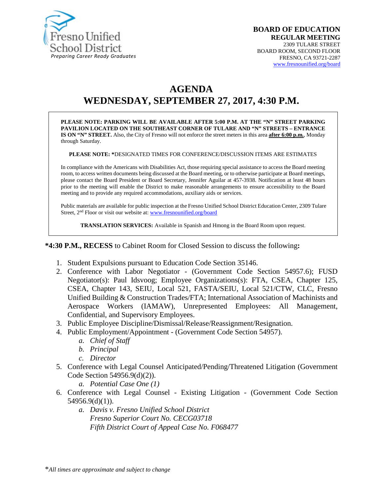

# **AGENDA WEDNESDAY, SEPTEMBER 27, 2017, 4:30 P.M.**

**PLEASE NOTE: PARKING WILL BE AVAILABLE AFTER 5:00 P.M. AT THE "N" STREET PARKING PAVILION LOCATED ON THE SOUTHEAST CORNER OF TULARE AND "N" STREETS – ENTRANCE IS ON "N" STREET.** Also, the City of Fresno will not enforce the street meters in this area **after 6:00 p.m.**, Monday through Saturday.

**PLEASE NOTE: \***DESIGNATED TIMES FOR CONFERENCE/DISCUSSION ITEMS ARE ESTIMATES

In compliance with the Americans with Disabilities Act, those requiring special assistance to access the Board meeting room, to access written documents being discussed at the Board meeting, or to otherwise participate at Board meetings, please contact the Board President or Board Secretary, Jennifer Aguilar at 457-3938. Notification at least 48 hours prior to the meeting will enable the District to make reasonable arrangements to ensure accessibility to the Board meeting and to provide any required accommodations, auxiliary aids or services.

Public materials are available for public inspection at the Fresno Unified School District Education Center, 2309 Tulare Street, 2<sup>nd</sup> Floor or visit our website at: [www.fresnounified.org/board](http://www.fresnounified.org/board)

**TRANSLATION SERVICES:** Available in Spanish and Hmong in the Board Room upon request.

**\*4:30 P.M., RECESS** to Cabinet Room for Closed Session to discuss the following**:**

- 1. Student Expulsions pursuant to Education Code Section 35146.
- 2. Conference with Labor Negotiator (Government Code Section 54957.6); FUSD Negotiator(s): Paul Idsvoog; Employee Organizations(s): FTA, CSEA, Chapter 125, CSEA, Chapter 143, SEIU, Local 521, FASTA/SEIU, Local 521/CTW, CLC, Fresno Unified Building & Construction Trades/FTA; International Association of Machinists and Aerospace Workers (IAMAW), Unrepresented Employees: All Management, Confidential, and Supervisory Employees.
- 3. Public Employee Discipline/Dismissal/Release/Reassignment/Resignation.
- 4. Public Employment/Appointment (Government Code Section 54957).
	- *a. Chief of Staff*
	- *b. Principal*
	- *c. Director*
- 5. Conference with Legal Counsel Anticipated/Pending/Threatened Litigation (Government Code Section 54956.9(d)(2)).
	- *a. Potential Case One (1)*
- 6. Conference with Legal Counsel Existing Litigation (Government Code Section 54956.9(d)(1)).
	- *a. Davis v. Fresno Unified School District Fresno Superior Court No. CECG03718 Fifth District Court of Appeal Case No. F068477*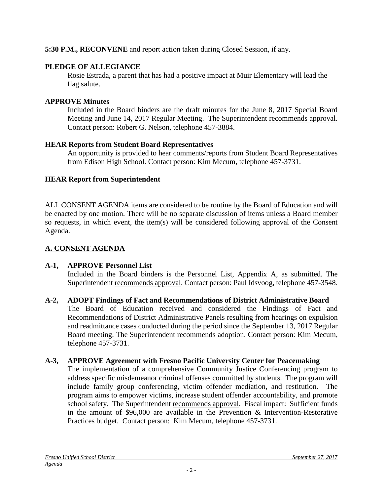### **5:30 P.M., RECONVENE** and report action taken during Closed Session, if any.

# **PLEDGE OF ALLEGIANCE**

Rosie Estrada, a parent that has had a positive impact at Muir Elementary will lead the flag salute.

### **APPROVE Minutes**

Included in the Board binders are the draft minutes for the June 8, 2017 Special Board Meeting and June 14, 2017 Regular Meeting. The Superintendent recommends approval. Contact person: Robert G. Nelson, telephone 457-3884.

# **HEAR Reports from Student Board Representatives**

An opportunity is provided to hear comments/reports from Student Board Representatives from Edison High School. Contact person: Kim Mecum, telephone 457-3731.

# **HEAR Report from Superintendent**

ALL CONSENT AGENDA items are considered to be routine by the Board of Education and will be enacted by one motion. There will be no separate discussion of items unless a Board member so requests, in which event, the item(s) will be considered following approval of the Consent Agenda.

# **A. CONSENT AGENDA**

# **A-1, APPROVE Personnel List**

Included in the Board binders is the Personnel List, Appendix A, as submitted. The Superintendent recommends approval. Contact person: Paul Idsvoog, telephone 457-3548.

# **A-2, ADOPT Findings of Fact and Recommendations of District Administrative Board**

The Board of Education received and considered the Findings of Fact and Recommendations of District Administrative Panels resulting from hearings on expulsion and readmittance cases conducted during the period since the September 13, 2017 Regular Board meeting. The Superintendent recommends adoption. Contact person: Kim Mecum, telephone 457-3731.

# **A-3, APPROVE Agreement with Fresno Pacific University Center for Peacemaking**

The implementation of a comprehensive Community Justice Conferencing program to address specific misdemeanor criminal offenses committed by students. The program will include family group conferencing, victim offender mediation, and restitution. The program aims to empower victims, increase student offender accountability, and promote school safety. The Superintendent recommends approval. Fiscal impact: Sufficient funds in the amount of \$96,000 are available in the Prevention & Intervention-Restorative Practices budget. Contact person: Kim Mecum, telephone 457-3731.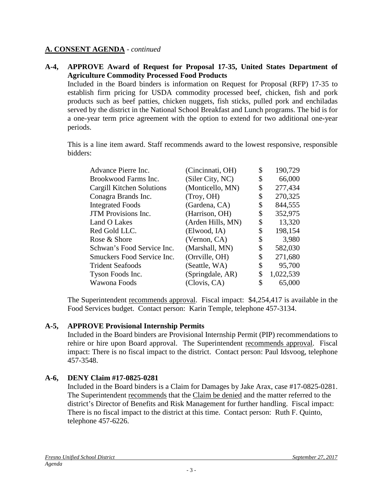#### **A. CONSENT AGENDA** - *continued*

#### **A-4, APPROVE Award of Request for Proposal 17-35, United States Department of Agriculture Commodity Processed Food Products**

Included in the Board binders is information on Request for Proposal (RFP) 17-35 to establish firm pricing for USDA commodity processed beef, chicken, fish and pork products such as beef patties, chicken nuggets, fish sticks, pulled pork and enchiladas served by the district in the National School Breakfast and Lunch programs. The bid is for a one-year term price agreement with the option to extend for two additional one-year periods.

This is a line item award. Staff recommends award to the lowest responsive, responsible bidders:

| Advance Pierre Inc.        | (Cincinnati, OH)  | \$<br>190,729   |
|----------------------------|-------------------|-----------------|
| Brookwood Farms Inc.       | (Siler City, NC)  | \$<br>66,000    |
| Cargill Kitchen Solutions  | (Monticello, MN)  | \$<br>277,434   |
| Conagra Brands Inc.        | (Troy, OH)        | \$<br>270,325   |
| <b>Integrated Foods</b>    | (Gardena, CA)     | \$<br>844,555   |
| <b>JTM</b> Provisions Inc. | (Harrison, OH)    | \$<br>352,975   |
| Land O Lakes               | (Arden Hills, MN) | \$<br>13,320    |
| Red Gold LLC.              | (Elwood, IA)      | \$<br>198,154   |
| Rose & Shore               | (Vernon, CA)      | \$<br>3,980     |
| Schwan's Food Service Inc. | (Marshall, MN)    | \$<br>582,030   |
| Smuckers Food Service Inc. | (Orrville, OH)    | \$<br>271,680   |
| <b>Trident Seafoods</b>    | (Seattle, WA)     | \$<br>95,700    |
| Tyson Foods Inc.           | (Springdale, AR)  | \$<br>1,022,539 |
| Wawona Foods               | (Clovis, CA)      | \$<br>65,000    |

The Superintendent recommends approval. Fiscal impact: \$4,254,417 is available in the Food Services budget. Contact person: Karin Temple, telephone 457-3134.

#### **A-5, APPROVE Provisional Internship Permits**

Included in the Board binders are Provisional Internship Permit (PIP) recommendations to rehire or hire upon Board approval. The Superintendent recommends approval. Fiscal impact: There is no fiscal impact to the district. Contact person: Paul Idsvoog, telephone 457-3548.

### **A-6, DENY Claim #17-0825-0281**

Included in the Board binders is a Claim for Damages by Jake Arax, case #17-0825-0281. The Superintendent recommends that the Claim be denied and the matter referred to the district's Director of Benefits and Risk Management for further handling. Fiscal impact: There is no fiscal impact to the district at this time. Contact person: Ruth F. Quinto, telephone 457-6226.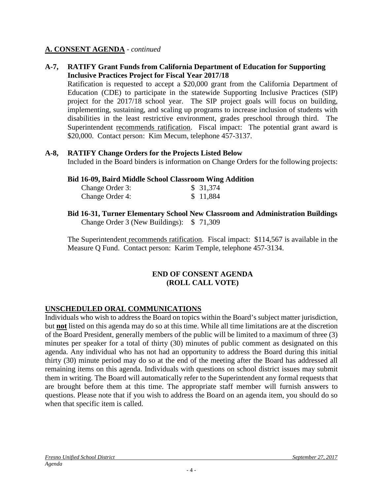#### **A. CONSENT AGENDA** - *continued*

#### **A-7, RATIFY Grant Funds from California Department of Education for Supporting Inclusive Practices Project for Fiscal Year 2017/18**

Ratification is requested to accept a \$20,000 grant from the California Department of Education (CDE) to participate in the statewide Supporting Inclusive Practices (SIP) project for the 2017/18 school year. The SIP project goals will focus on building, implementing, sustaining, and scaling up programs to increase inclusion of students with disabilities in the least restrictive environment, grades preschool through third. The Superintendent recommends ratification. Fiscal impact: The potential grant award is \$20,000. Contact person: Kim Mecum, telephone 457-3137.

#### **A-8, RATIFY Change Orders for the Projects Listed Below**

Included in the Board binders is information on Change Orders for the following projects:

#### **Bid 16-09, Baird Middle School Classroom Wing Addition**

| Change Order 3: | \$31,374 |
|-----------------|----------|
| Change Order 4: | \$11,884 |

**Bid 16-31, Turner Elementary School New Classroom and Administration Buildings** Change Order 3 (New Buildings): \$ 71,309

The Superintendent recommends ratification. Fiscal impact: \$114,567 is available in the Measure Q Fund. Contact person: Karim Temple, telephone 457-3134.

### **END OF CONSENT AGENDA (ROLL CALL VOTE)**

### **UNSCHEDULED ORAL COMMUNICATIONS**

Individuals who wish to address the Board on topics within the Board's subject matter jurisdiction, but **not** listed on this agenda may do so at this time. While all time limitations are at the discretion of the Board President, generally members of the public will be limited to a maximum of three (3) minutes per speaker for a total of thirty (30) minutes of public comment as designated on this agenda. Any individual who has not had an opportunity to address the Board during this initial thirty (30) minute period may do so at the end of the meeting after the Board has addressed all remaining items on this agenda. Individuals with questions on school district issues may submit them in writing. The Board will automatically refer to the Superintendent any formal requests that are brought before them at this time. The appropriate staff member will furnish answers to questions. Please note that if you wish to address the Board on an agenda item, you should do so when that specific item is called.